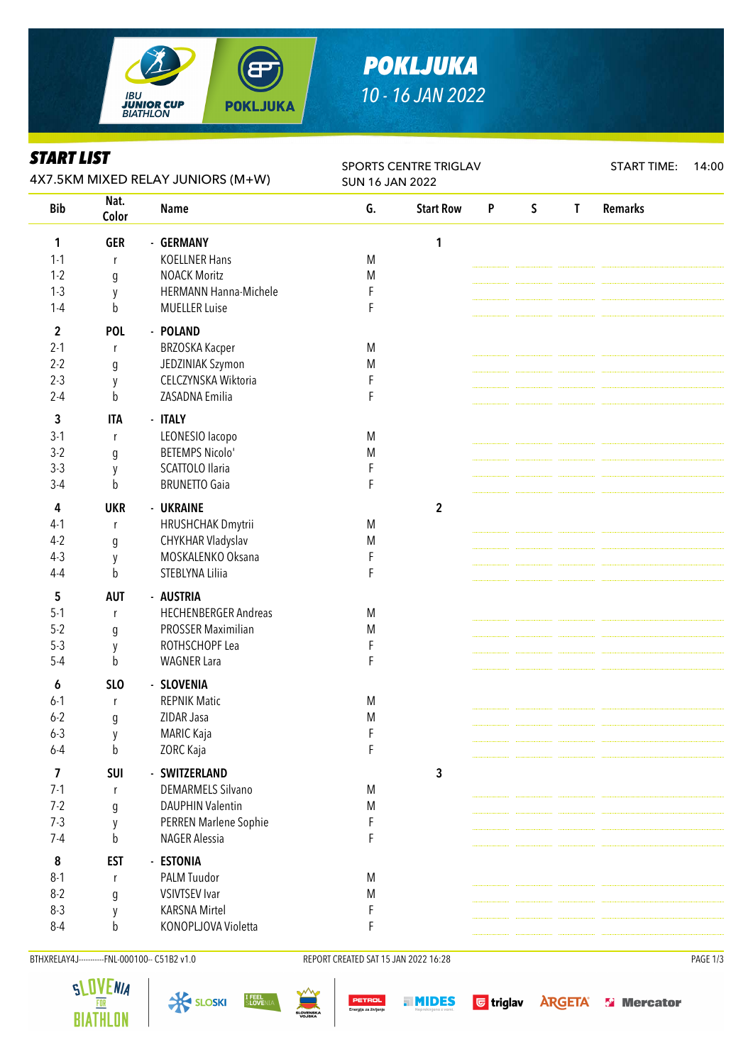

# *POKLJUKA 10 - 16 JAN 2022*

#### *START LIST*

| <i><b>SIAKI LISI</b></i><br>4X7.5KM MIXED RELAY JUNIORS (M+W) |                  |                             | SPORTS CENTRE TRIGLAV<br><b>SUN 16 JAN 2022</b> |                  |                    |             |              | <b>START TIME:</b><br>14:00 |  |  |
|---------------------------------------------------------------|------------------|-----------------------------|-------------------------------------------------|------------------|--------------------|-------------|--------------|-----------------------------|--|--|
| <b>Bib</b>                                                    | Nat.<br>Color    | <b>Name</b>                 | G.                                              | <b>Start Row</b> | $\pmb{\mathsf{P}}$ | $\mathsf S$ | $\mathbf{T}$ | <b>Remarks</b>              |  |  |
| 1                                                             | <b>GER</b>       | - GERMANY                   |                                                 | 1                |                    |             |              |                             |  |  |
| $1 - 1$                                                       | $\mathsf{r}$     | <b>KOELLNER Hans</b>        | M                                               |                  |                    |             |              |                             |  |  |
| $1 - 2$                                                       | g                | <b>NOACK Moritz</b>         | M                                               |                  |                    |             |              |                             |  |  |
| $1-3$                                                         | y                | HERMANN Hanna-Michele       | F                                               |                  |                    |             |              |                             |  |  |
| $1 - 4$                                                       | $\mathsf b$      | <b>MUELLER Luise</b>        | F                                               |                  |                    |             |              |                             |  |  |
| $\mathbf 2$                                                   | <b>POL</b>       | - POLAND                    |                                                 |                  |                    |             |              |                             |  |  |
| $2 - 1$                                                       | r                | <b>BRZOSKA Kacper</b>       | M                                               |                  |                    |             |              |                             |  |  |
| $2 - 2$                                                       | g                | JEDZINIAK Szymon            | M                                               |                  |                    |             |              |                             |  |  |
| $2 - 3$                                                       | y                | CELCZYNSKA Wiktoria         | F                                               |                  |                    |             |              |                             |  |  |
| $2 - 4$                                                       | b                | ZASADNA Emilia              | F                                               |                  |                    |             |              |                             |  |  |
| 3                                                             | <b>ITA</b>       | - ITALY                     |                                                 |                  |                    |             |              |                             |  |  |
| $3-1$                                                         | r                | LEONESIO lacopo             | M                                               |                  |                    |             |              |                             |  |  |
| $3-2$                                                         | g                | <b>BETEMPS Nicolo'</b>      | M                                               |                  |                    |             |              |                             |  |  |
| $3-3$                                                         |                  | SCATTOLO Ilaria             | F                                               |                  |                    |             |              |                             |  |  |
| $3-4$                                                         | y<br>b           | <b>BRUNETTO Gaia</b>        | F                                               |                  |                    |             |              |                             |  |  |
|                                                               |                  |                             |                                                 |                  |                    |             |              |                             |  |  |
| 4                                                             | <b>UKR</b>       | - UKRAINE                   |                                                 | $\overline{2}$   |                    |             |              |                             |  |  |
| $4-1$                                                         | r                | HRUSHCHAK Dmytrii           | M                                               |                  |                    |             |              |                             |  |  |
| $4-2$                                                         | $\boldsymbol{g}$ | CHYKHAR Vladyslav           | M                                               |                  |                    |             |              |                             |  |  |
| $4-3$                                                         | y                | MOSKALENKO Oksana           | F                                               |                  |                    |             |              |                             |  |  |
| $4 - 4$                                                       | b                | STEBLYNA Liliia             | F                                               |                  |                    |             |              |                             |  |  |
| 5                                                             | <b>AUT</b>       | - AUSTRIA                   |                                                 |                  |                    |             |              |                             |  |  |
| $5 - 1$                                                       | $\mathsf{r}$     | <b>HECHENBERGER Andreas</b> | M                                               |                  |                    |             |              |                             |  |  |
| $5 - 2$                                                       | g                | PROSSER Maximilian          | M                                               |                  |                    |             |              |                             |  |  |
| $5-3$                                                         | y                | ROTHSCHOPF Lea              | F                                               |                  |                    |             |              |                             |  |  |
| $5-4$                                                         | b                | <b>WAGNER Lara</b>          | F                                               |                  |                    |             |              |                             |  |  |
| 6                                                             | <b>SLO</b>       | - SLOVENIA                  |                                                 |                  |                    |             |              |                             |  |  |
| $6 - 1$                                                       | r                | <b>REPNIK Matic</b>         | M                                               |                  |                    |             |              |                             |  |  |
| $6 - 2$                                                       | g                | ZIDAR Jasa                  | M                                               |                  |                    |             |              |                             |  |  |
| $6 - 3$                                                       | y                | MARIC Kaja                  | F                                               |                  |                    |             |              |                             |  |  |
| $6-4$                                                         | b                | ZORC Kaja                   | F                                               |                  |                    |             |              |                             |  |  |
| 7                                                             | <b>SUI</b>       | - SWITZERLAND               |                                                 | $\mathbf{3}$     |                    |             |              |                             |  |  |
| $7 - 1$                                                       | r                | <b>DEMARMELS Silvano</b>    | M                                               |                  |                    |             |              |                             |  |  |
| $7 - 2$                                                       | g                | <b>DAUPHIN Valentin</b>     | M                                               |                  |                    |             |              |                             |  |  |
| $7-3$                                                         | y                | PERREN Marlene Sophie       | F                                               |                  |                    |             |              |                             |  |  |
| $7 - 4$                                                       | b                | <b>NAGER Alessia</b>        | F                                               |                  |                    |             |              |                             |  |  |
| 8                                                             | <b>EST</b>       | - ESTONIA                   |                                                 |                  |                    |             |              |                             |  |  |
| $8-1$                                                         | $\mathsf{r}$     | PALM Tuudor                 | M                                               |                  |                    |             |              |                             |  |  |
| $8 - 2$                                                       | g                | <b>VSIVTSEV Ivar</b>        | M                                               |                  |                    |             |              |                             |  |  |
| $8 - 3$                                                       | y                | <b>KARSNA Mirtel</b>        | F                                               |                  |                    |             |              |                             |  |  |
| $8 - 4$                                                       | b                | KONOPLJOVA Violetta         | F                                               |                  |                    |             |              |                             |  |  |
|                                                               |                  |                             |                                                 |                  |                    |             |              |                             |  |  |

BTHXRELAY4J----------FNL-000100-- C51B2 v1.0 REPORT CREATED SAT 15 JAN 2022 16:28 REPORT CREATED SAT 15 JAN 2022 16:28







I FEEL<br>Slovenia







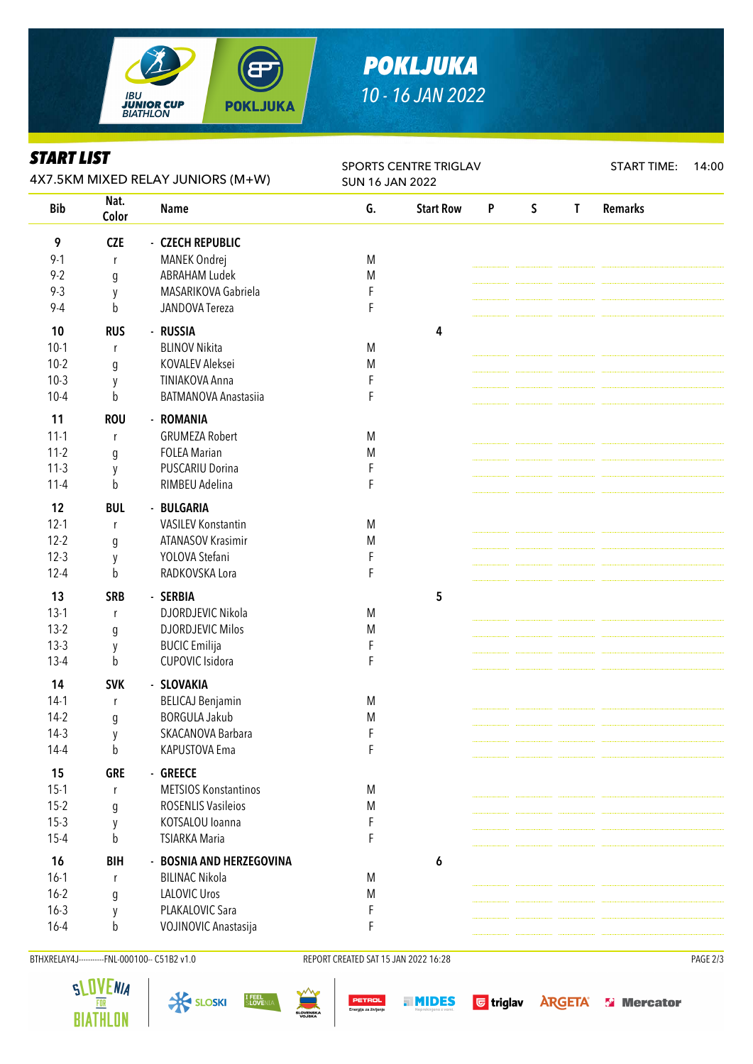

# *POKLJUKA 10 - 16 JAN 2022*

### *START LIST*

| Nat.<br><b>Bib</b><br>G.<br>$\mathsf S$<br><b>Remarks</b><br><b>Start Row</b><br>P<br>$\mathsf{T}$<br><b>Name</b><br>Color<br>9<br><b>CZE</b><br>- CZECH REPUBLIC<br>$9 - 1$<br>MANEK Ondrej<br>M<br>r<br>$9 - 2$<br><b>ABRAHAM Ludek</b><br>M<br>$\boldsymbol{g}$<br>MASARIKOVA Gabriela<br>$9 - 3$<br>F<br>y<br>$9 - 4$<br>F<br>b<br>JANDOVA Tereza<br>- RUSSIA<br>10<br><b>RUS</b><br>4<br><b>BLINOV Nikita</b><br>$10-1$<br>M<br>r<br>$10-2$<br>KOVALEV Aleksei<br>M<br>g<br>$10-3$<br><b>TINIAKOVA Anna</b><br>F<br>y<br>$10 - 4$<br><b>BATMANOVA Anastasiia</b><br>F<br>b<br>11<br><b>ROU</b><br>- ROMANIA<br>$11-1$<br><b>GRUMEZA Robert</b><br>M<br>r<br>$11-2$<br><b>FOLEA Marian</b><br>M<br>g<br>$11-3$<br><b>PUSCARIU Dorina</b><br>F<br>y<br>RIMBEU Adelina<br>$11 - 4$<br>b<br>F<br>12<br><b>BUL</b><br>- BULGARIA<br>$12-1$<br><b>VASILEV Konstantin</b><br>M<br>r<br>$12 - 2$<br>ATANASOV Krasimir<br>M<br>$\boldsymbol{g}$<br>$12-3$<br>YOLOVA Stefani<br>F<br>y<br>RADKOVSKA Lora<br>$12 - 4$<br>b<br>F<br>13<br><b>SRB</b><br>5<br>- SERBIA<br>$13-1$<br>DJORDJEVIC Nikola<br>M<br>r<br>$13-2$<br><b>DJORDJEVIC Milos</b><br>M<br>g<br>$13-3$<br><b>BUCIC</b> Emilija<br>F<br>y<br>$13-4$<br>CUPOVIC Isidora<br>b<br>F<br><b>SVK</b><br>14<br>- SLOVAKIA<br><b>BELICAJ Benjamin</b><br>$14-1$<br>M<br>r<br><b>BORGULA Jakub</b><br>$14-2$<br>M<br>q<br>$14-3$<br>SKACANOVA Barbara<br>F<br>y<br>F<br>$14-4$<br>b<br>KAPUSTOVA Ema<br>15<br><b>GRE</b><br>- GREECE<br>$15-1$<br><b>METSIOS Konstantinos</b><br>M<br>r<br>$15-2$<br><b>ROSENLIS Vasileios</b><br>M<br>g<br>KOTSALOU Ioanna<br>$15-3$<br>F<br>y<br>$15 - 4$<br>b<br><b>TSIARKA Maria</b><br>F<br>16<br><b>BIH</b><br>- BOSNIA AND HERZEGOVINA<br>6<br>$16-1$<br><b>BILINAC Nikola</b><br>M<br>r<br>$16 - 2$<br><b>LALOVIC Uros</b><br>M<br>g<br>$16 - 3$<br>PLAKALOVIC Sara<br>F<br>y<br>$16 - 4$<br>VOJINOVIC Anastasija<br>b<br>F | <i><b>SIAKI LISI</b></i><br>4X7.5KM MIXED RELAY JUNIORS (M+W) |  |  | SPORTS CENTRE TRIGLAV<br><b>SUN 16 JAN 2022</b> |  |  |  |  | <b>START TIME:</b><br>14:00 |  |  |
|---------------------------------------------------------------------------------------------------------------------------------------------------------------------------------------------------------------------------------------------------------------------------------------------------------------------------------------------------------------------------------------------------------------------------------------------------------------------------------------------------------------------------------------------------------------------------------------------------------------------------------------------------------------------------------------------------------------------------------------------------------------------------------------------------------------------------------------------------------------------------------------------------------------------------------------------------------------------------------------------------------------------------------------------------------------------------------------------------------------------------------------------------------------------------------------------------------------------------------------------------------------------------------------------------------------------------------------------------------------------------------------------------------------------------------------------------------------------------------------------------------------------------------------------------------------------------------------------------------------------------------------------------------------------------------------------------------------------------------------------------------------------------------------------------------------------------------------------------------------------------------------------------------------------|---------------------------------------------------------------|--|--|-------------------------------------------------|--|--|--|--|-----------------------------|--|--|
|                                                                                                                                                                                                                                                                                                                                                                                                                                                                                                                                                                                                                                                                                                                                                                                                                                                                                                                                                                                                                                                                                                                                                                                                                                                                                                                                                                                                                                                                                                                                                                                                                                                                                                                                                                                                                                                                                                                     |                                                               |  |  |                                                 |  |  |  |  |                             |  |  |
|                                                                                                                                                                                                                                                                                                                                                                                                                                                                                                                                                                                                                                                                                                                                                                                                                                                                                                                                                                                                                                                                                                                                                                                                                                                                                                                                                                                                                                                                                                                                                                                                                                                                                                                                                                                                                                                                                                                     |                                                               |  |  |                                                 |  |  |  |  |                             |  |  |
|                                                                                                                                                                                                                                                                                                                                                                                                                                                                                                                                                                                                                                                                                                                                                                                                                                                                                                                                                                                                                                                                                                                                                                                                                                                                                                                                                                                                                                                                                                                                                                                                                                                                                                                                                                                                                                                                                                                     |                                                               |  |  |                                                 |  |  |  |  |                             |  |  |
|                                                                                                                                                                                                                                                                                                                                                                                                                                                                                                                                                                                                                                                                                                                                                                                                                                                                                                                                                                                                                                                                                                                                                                                                                                                                                                                                                                                                                                                                                                                                                                                                                                                                                                                                                                                                                                                                                                                     |                                                               |  |  |                                                 |  |  |  |  |                             |  |  |
|                                                                                                                                                                                                                                                                                                                                                                                                                                                                                                                                                                                                                                                                                                                                                                                                                                                                                                                                                                                                                                                                                                                                                                                                                                                                                                                                                                                                                                                                                                                                                                                                                                                                                                                                                                                                                                                                                                                     |                                                               |  |  |                                                 |  |  |  |  |                             |  |  |
|                                                                                                                                                                                                                                                                                                                                                                                                                                                                                                                                                                                                                                                                                                                                                                                                                                                                                                                                                                                                                                                                                                                                                                                                                                                                                                                                                                                                                                                                                                                                                                                                                                                                                                                                                                                                                                                                                                                     |                                                               |  |  |                                                 |  |  |  |  |                             |  |  |
|                                                                                                                                                                                                                                                                                                                                                                                                                                                                                                                                                                                                                                                                                                                                                                                                                                                                                                                                                                                                                                                                                                                                                                                                                                                                                                                                                                                                                                                                                                                                                                                                                                                                                                                                                                                                                                                                                                                     |                                                               |  |  |                                                 |  |  |  |  |                             |  |  |
|                                                                                                                                                                                                                                                                                                                                                                                                                                                                                                                                                                                                                                                                                                                                                                                                                                                                                                                                                                                                                                                                                                                                                                                                                                                                                                                                                                                                                                                                                                                                                                                                                                                                                                                                                                                                                                                                                                                     |                                                               |  |  |                                                 |  |  |  |  |                             |  |  |
|                                                                                                                                                                                                                                                                                                                                                                                                                                                                                                                                                                                                                                                                                                                                                                                                                                                                                                                                                                                                                                                                                                                                                                                                                                                                                                                                                                                                                                                                                                                                                                                                                                                                                                                                                                                                                                                                                                                     |                                                               |  |  |                                                 |  |  |  |  |                             |  |  |
|                                                                                                                                                                                                                                                                                                                                                                                                                                                                                                                                                                                                                                                                                                                                                                                                                                                                                                                                                                                                                                                                                                                                                                                                                                                                                                                                                                                                                                                                                                                                                                                                                                                                                                                                                                                                                                                                                                                     |                                                               |  |  |                                                 |  |  |  |  |                             |  |  |
|                                                                                                                                                                                                                                                                                                                                                                                                                                                                                                                                                                                                                                                                                                                                                                                                                                                                                                                                                                                                                                                                                                                                                                                                                                                                                                                                                                                                                                                                                                                                                                                                                                                                                                                                                                                                                                                                                                                     |                                                               |  |  |                                                 |  |  |  |  |                             |  |  |
|                                                                                                                                                                                                                                                                                                                                                                                                                                                                                                                                                                                                                                                                                                                                                                                                                                                                                                                                                                                                                                                                                                                                                                                                                                                                                                                                                                                                                                                                                                                                                                                                                                                                                                                                                                                                                                                                                                                     |                                                               |  |  |                                                 |  |  |  |  |                             |  |  |
|                                                                                                                                                                                                                                                                                                                                                                                                                                                                                                                                                                                                                                                                                                                                                                                                                                                                                                                                                                                                                                                                                                                                                                                                                                                                                                                                                                                                                                                                                                                                                                                                                                                                                                                                                                                                                                                                                                                     |                                                               |  |  |                                                 |  |  |  |  |                             |  |  |
|                                                                                                                                                                                                                                                                                                                                                                                                                                                                                                                                                                                                                                                                                                                                                                                                                                                                                                                                                                                                                                                                                                                                                                                                                                                                                                                                                                                                                                                                                                                                                                                                                                                                                                                                                                                                                                                                                                                     |                                                               |  |  |                                                 |  |  |  |  |                             |  |  |
|                                                                                                                                                                                                                                                                                                                                                                                                                                                                                                                                                                                                                                                                                                                                                                                                                                                                                                                                                                                                                                                                                                                                                                                                                                                                                                                                                                                                                                                                                                                                                                                                                                                                                                                                                                                                                                                                                                                     |                                                               |  |  |                                                 |  |  |  |  |                             |  |  |
|                                                                                                                                                                                                                                                                                                                                                                                                                                                                                                                                                                                                                                                                                                                                                                                                                                                                                                                                                                                                                                                                                                                                                                                                                                                                                                                                                                                                                                                                                                                                                                                                                                                                                                                                                                                                                                                                                                                     |                                                               |  |  |                                                 |  |  |  |  |                             |  |  |
|                                                                                                                                                                                                                                                                                                                                                                                                                                                                                                                                                                                                                                                                                                                                                                                                                                                                                                                                                                                                                                                                                                                                                                                                                                                                                                                                                                                                                                                                                                                                                                                                                                                                                                                                                                                                                                                                                                                     |                                                               |  |  |                                                 |  |  |  |  |                             |  |  |
|                                                                                                                                                                                                                                                                                                                                                                                                                                                                                                                                                                                                                                                                                                                                                                                                                                                                                                                                                                                                                                                                                                                                                                                                                                                                                                                                                                                                                                                                                                                                                                                                                                                                                                                                                                                                                                                                                                                     |                                                               |  |  |                                                 |  |  |  |  |                             |  |  |
|                                                                                                                                                                                                                                                                                                                                                                                                                                                                                                                                                                                                                                                                                                                                                                                                                                                                                                                                                                                                                                                                                                                                                                                                                                                                                                                                                                                                                                                                                                                                                                                                                                                                                                                                                                                                                                                                                                                     |                                                               |  |  |                                                 |  |  |  |  |                             |  |  |
|                                                                                                                                                                                                                                                                                                                                                                                                                                                                                                                                                                                                                                                                                                                                                                                                                                                                                                                                                                                                                                                                                                                                                                                                                                                                                                                                                                                                                                                                                                                                                                                                                                                                                                                                                                                                                                                                                                                     |                                                               |  |  |                                                 |  |  |  |  |                             |  |  |
|                                                                                                                                                                                                                                                                                                                                                                                                                                                                                                                                                                                                                                                                                                                                                                                                                                                                                                                                                                                                                                                                                                                                                                                                                                                                                                                                                                                                                                                                                                                                                                                                                                                                                                                                                                                                                                                                                                                     |                                                               |  |  |                                                 |  |  |  |  |                             |  |  |
|                                                                                                                                                                                                                                                                                                                                                                                                                                                                                                                                                                                                                                                                                                                                                                                                                                                                                                                                                                                                                                                                                                                                                                                                                                                                                                                                                                                                                                                                                                                                                                                                                                                                                                                                                                                                                                                                                                                     |                                                               |  |  |                                                 |  |  |  |  |                             |  |  |
|                                                                                                                                                                                                                                                                                                                                                                                                                                                                                                                                                                                                                                                                                                                                                                                                                                                                                                                                                                                                                                                                                                                                                                                                                                                                                                                                                                                                                                                                                                                                                                                                                                                                                                                                                                                                                                                                                                                     |                                                               |  |  |                                                 |  |  |  |  |                             |  |  |
|                                                                                                                                                                                                                                                                                                                                                                                                                                                                                                                                                                                                                                                                                                                                                                                                                                                                                                                                                                                                                                                                                                                                                                                                                                                                                                                                                                                                                                                                                                                                                                                                                                                                                                                                                                                                                                                                                                                     |                                                               |  |  |                                                 |  |  |  |  |                             |  |  |
|                                                                                                                                                                                                                                                                                                                                                                                                                                                                                                                                                                                                                                                                                                                                                                                                                                                                                                                                                                                                                                                                                                                                                                                                                                                                                                                                                                                                                                                                                                                                                                                                                                                                                                                                                                                                                                                                                                                     |                                                               |  |  |                                                 |  |  |  |  |                             |  |  |
|                                                                                                                                                                                                                                                                                                                                                                                                                                                                                                                                                                                                                                                                                                                                                                                                                                                                                                                                                                                                                                                                                                                                                                                                                                                                                                                                                                                                                                                                                                                                                                                                                                                                                                                                                                                                                                                                                                                     |                                                               |  |  |                                                 |  |  |  |  |                             |  |  |
|                                                                                                                                                                                                                                                                                                                                                                                                                                                                                                                                                                                                                                                                                                                                                                                                                                                                                                                                                                                                                                                                                                                                                                                                                                                                                                                                                                                                                                                                                                                                                                                                                                                                                                                                                                                                                                                                                                                     |                                                               |  |  |                                                 |  |  |  |  |                             |  |  |
|                                                                                                                                                                                                                                                                                                                                                                                                                                                                                                                                                                                                                                                                                                                                                                                                                                                                                                                                                                                                                                                                                                                                                                                                                                                                                                                                                                                                                                                                                                                                                                                                                                                                                                                                                                                                                                                                                                                     |                                                               |  |  |                                                 |  |  |  |  |                             |  |  |
|                                                                                                                                                                                                                                                                                                                                                                                                                                                                                                                                                                                                                                                                                                                                                                                                                                                                                                                                                                                                                                                                                                                                                                                                                                                                                                                                                                                                                                                                                                                                                                                                                                                                                                                                                                                                                                                                                                                     |                                                               |  |  |                                                 |  |  |  |  |                             |  |  |
|                                                                                                                                                                                                                                                                                                                                                                                                                                                                                                                                                                                                                                                                                                                                                                                                                                                                                                                                                                                                                                                                                                                                                                                                                                                                                                                                                                                                                                                                                                                                                                                                                                                                                                                                                                                                                                                                                                                     |                                                               |  |  |                                                 |  |  |  |  |                             |  |  |
|                                                                                                                                                                                                                                                                                                                                                                                                                                                                                                                                                                                                                                                                                                                                                                                                                                                                                                                                                                                                                                                                                                                                                                                                                                                                                                                                                                                                                                                                                                                                                                                                                                                                                                                                                                                                                                                                                                                     |                                                               |  |  |                                                 |  |  |  |  |                             |  |  |
|                                                                                                                                                                                                                                                                                                                                                                                                                                                                                                                                                                                                                                                                                                                                                                                                                                                                                                                                                                                                                                                                                                                                                                                                                                                                                                                                                                                                                                                                                                                                                                                                                                                                                                                                                                                                                                                                                                                     |                                                               |  |  |                                                 |  |  |  |  |                             |  |  |
|                                                                                                                                                                                                                                                                                                                                                                                                                                                                                                                                                                                                                                                                                                                                                                                                                                                                                                                                                                                                                                                                                                                                                                                                                                                                                                                                                                                                                                                                                                                                                                                                                                                                                                                                                                                                                                                                                                                     |                                                               |  |  |                                                 |  |  |  |  |                             |  |  |
|                                                                                                                                                                                                                                                                                                                                                                                                                                                                                                                                                                                                                                                                                                                                                                                                                                                                                                                                                                                                                                                                                                                                                                                                                                                                                                                                                                                                                                                                                                                                                                                                                                                                                                                                                                                                                                                                                                                     |                                                               |  |  |                                                 |  |  |  |  |                             |  |  |
|                                                                                                                                                                                                                                                                                                                                                                                                                                                                                                                                                                                                                                                                                                                                                                                                                                                                                                                                                                                                                                                                                                                                                                                                                                                                                                                                                                                                                                                                                                                                                                                                                                                                                                                                                                                                                                                                                                                     |                                                               |  |  |                                                 |  |  |  |  |                             |  |  |
|                                                                                                                                                                                                                                                                                                                                                                                                                                                                                                                                                                                                                                                                                                                                                                                                                                                                                                                                                                                                                                                                                                                                                                                                                                                                                                                                                                                                                                                                                                                                                                                                                                                                                                                                                                                                                                                                                                                     |                                                               |  |  |                                                 |  |  |  |  |                             |  |  |
|                                                                                                                                                                                                                                                                                                                                                                                                                                                                                                                                                                                                                                                                                                                                                                                                                                                                                                                                                                                                                                                                                                                                                                                                                                                                                                                                                                                                                                                                                                                                                                                                                                                                                                                                                                                                                                                                                                                     |                                                               |  |  |                                                 |  |  |  |  |                             |  |  |
|                                                                                                                                                                                                                                                                                                                                                                                                                                                                                                                                                                                                                                                                                                                                                                                                                                                                                                                                                                                                                                                                                                                                                                                                                                                                                                                                                                                                                                                                                                                                                                                                                                                                                                                                                                                                                                                                                                                     |                                                               |  |  |                                                 |  |  |  |  |                             |  |  |
|                                                                                                                                                                                                                                                                                                                                                                                                                                                                                                                                                                                                                                                                                                                                                                                                                                                                                                                                                                                                                                                                                                                                                                                                                                                                                                                                                                                                                                                                                                                                                                                                                                                                                                                                                                                                                                                                                                                     |                                                               |  |  |                                                 |  |  |  |  |                             |  |  |
|                                                                                                                                                                                                                                                                                                                                                                                                                                                                                                                                                                                                                                                                                                                                                                                                                                                                                                                                                                                                                                                                                                                                                                                                                                                                                                                                                                                                                                                                                                                                                                                                                                                                                                                                                                                                                                                                                                                     |                                                               |  |  |                                                 |  |  |  |  |                             |  |  |
|                                                                                                                                                                                                                                                                                                                                                                                                                                                                                                                                                                                                                                                                                                                                                                                                                                                                                                                                                                                                                                                                                                                                                                                                                                                                                                                                                                                                                                                                                                                                                                                                                                                                                                                                                                                                                                                                                                                     |                                                               |  |  |                                                 |  |  |  |  |                             |  |  |

BTHXRELAY4J----------FNL-000100-- C51B2 v1.0 REPORT CREATED SAT 15 JAN 2022 16:28 REPORT CREATED SAT 15 JAN 2022 16:28